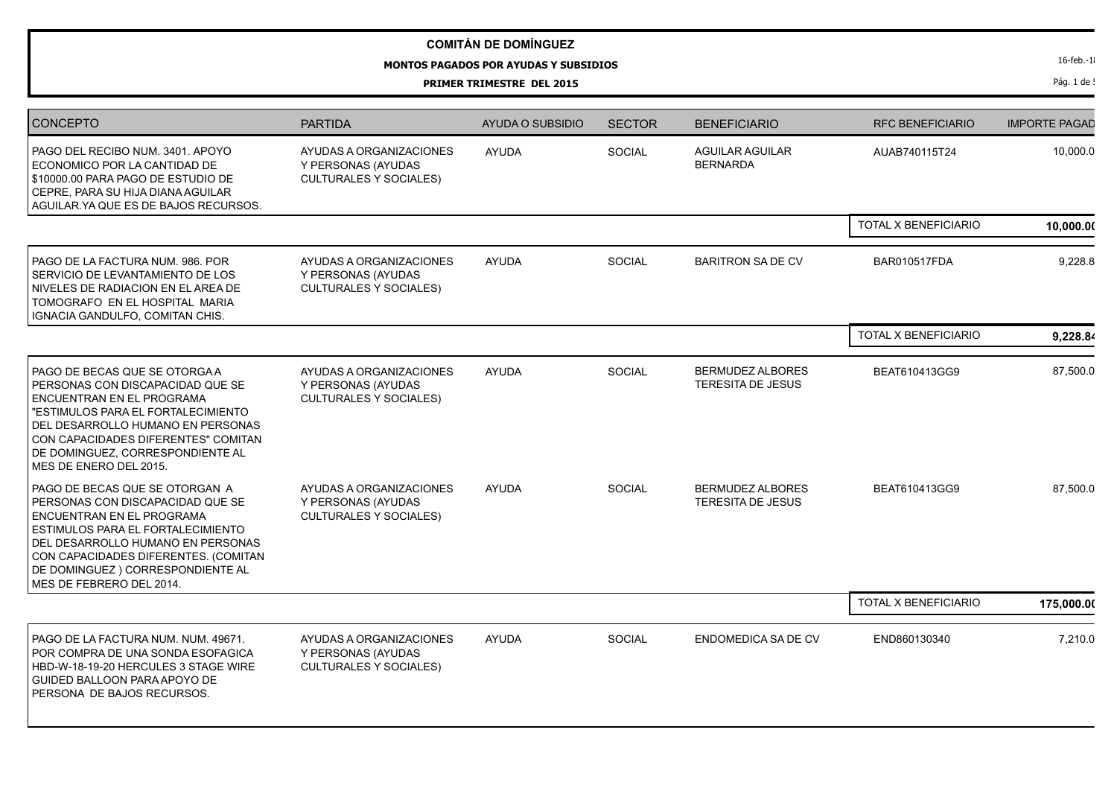## **COMITÁN DE DOMÍNGUEZ**

## **MONTOS PAGADOS POR AYUDAS Y SUBSIDIOS**

**PRIMER TRIMESTRE DEL 2015**

Pág. 1 de !

| <b>CONCEPTO</b>                                                                                                                                                                                                                                                                           | <b>PARTIDA</b>                                                                 | AYUDA O SUBSIDIO | <b>SECTOR</b> | <b>BENEFICIARIO</b>                                 | <b>RFC BENEFICIARIO</b> | <b>IMPORTE PAGAD</b> |
|-------------------------------------------------------------------------------------------------------------------------------------------------------------------------------------------------------------------------------------------------------------------------------------------|--------------------------------------------------------------------------------|------------------|---------------|-----------------------------------------------------|-------------------------|----------------------|
| PAGO DEL RECIBO NUM. 3401. APOYO<br>ECONOMICO POR LA CANTIDAD DE<br>\$10000.00 PARA PAGO DE ESTUDIO DE<br>CEPRE, PARA SU HIJA DIANA AGUILAR<br>AGUILAR YA QUE ES DE BAJOS RECURSOS.                                                                                                       | AYUDAS A ORGANIZACIONES<br>Y PERSONAS (AYUDAS<br><b>CULTURALES Y SOCIALES)</b> | <b>AYUDA</b>     | SOCIAL        | <b>AGUILAR AGUILAR</b><br><b>BERNARDA</b>           | AUAB740115T24           | 10,000.0             |
|                                                                                                                                                                                                                                                                                           |                                                                                |                  |               |                                                     | TOTAL X BENEFICIARIO    | 10,000.00            |
| PAGO DE LA FACTURA NUM. 986. POR<br>SERVICIO DE LEVANTAMIENTO DE LOS<br>NIVELES DE RADIACION EN EL AREA DE<br>TOMOGRAFO EN EL HOSPITAL MARIA<br>IGNACIA GANDULFO, COMITAN CHIS.                                                                                                           | AYUDAS A ORGANIZACIONES<br>Y PERSONAS (AYUDAS<br><b>CULTURALES Y SOCIALES)</b> | <b>AYUDA</b>     | <b>SOCIAL</b> | <b>BARITRON SA DE CV</b>                            | <b>BAR010517FDA</b>     | 9,228.8              |
|                                                                                                                                                                                                                                                                                           |                                                                                |                  |               |                                                     | TOTAL X BENEFICIARIO    | 9,228.84             |
| PAGO DE BECAS QUE SE OTORGA A<br>PERSONAS CON DISCAPACIDAD QUE SE<br>ENCUENTRAN EN EL PROGRAMA<br>"ESTIMULOS PARA EL FORTALECIMIENTO<br>DEL DESARROLLO HUMANO EN PERSONAS<br>CON CAPACIDADES DIFERENTES" COMITAN<br>DE DOMINGUEZ, CORRESPONDIENTE AL<br>MES DE ENERO DEL 2015.            | AYUDAS A ORGANIZACIONES<br>Y PERSONAS (AYUDAS<br><b>CULTURALES Y SOCIALES)</b> | <b>AYUDA</b>     | SOCIAL        | <b>BERMUDEZ ALBORES</b><br><b>TERESITA DE JESUS</b> | BEAT610413GG9           | 87,500.0             |
| PAGO DE BECAS QUE SE OTORGAN A<br>PERSONAS CON DISCAPACIDAD QUE SE<br>ENCUENTRAN EN EL PROGRAMA<br><b>ESTIMULOS PARA EL FORTALECIMIENTO</b><br>DEL DESARROLLO HUMANO EN PERSONAS<br>CON CAPACIDADES DIFERENTES. (COMITAN<br>DE DOMINGUEZ ) CORRESPONDIENTE AL<br>MES DE FEBRERO DEL 2014. | AYUDAS A ORGANIZACIONES<br>Y PERSONAS (AYUDAS<br><b>CULTURALES Y SOCIALES)</b> | <b>AYUDA</b>     | <b>SOCIAL</b> | <b>BERMUDEZ ALBORES</b><br><b>TERESITA DE JESUS</b> | BEAT610413GG9           | 87,500.0             |
|                                                                                                                                                                                                                                                                                           |                                                                                |                  |               |                                                     | TOTAL X BENEFICIARIO    | 175,000.00           |
| PAGO DE LA FACTURA NUM. NUM. 49671.<br>POR COMPRA DE UNA SONDA ESOFAGICA<br>HBD-W-18-19-20 HERCULES 3 STAGE WIRE<br><b>GUIDED BALLOON PARA APOYO DE</b><br>PERSONA DE BAJOS RECURSOS.                                                                                                     | AYUDAS A ORGANIZACIONES<br>Y PERSONAS (AYUDAS<br><b>CULTURALES Y SOCIALES)</b> | <b>AYUDA</b>     | <b>SOCIAL</b> | <b>ENDOMEDICA SA DE CV</b>                          | END860130340            | 7,210.0              |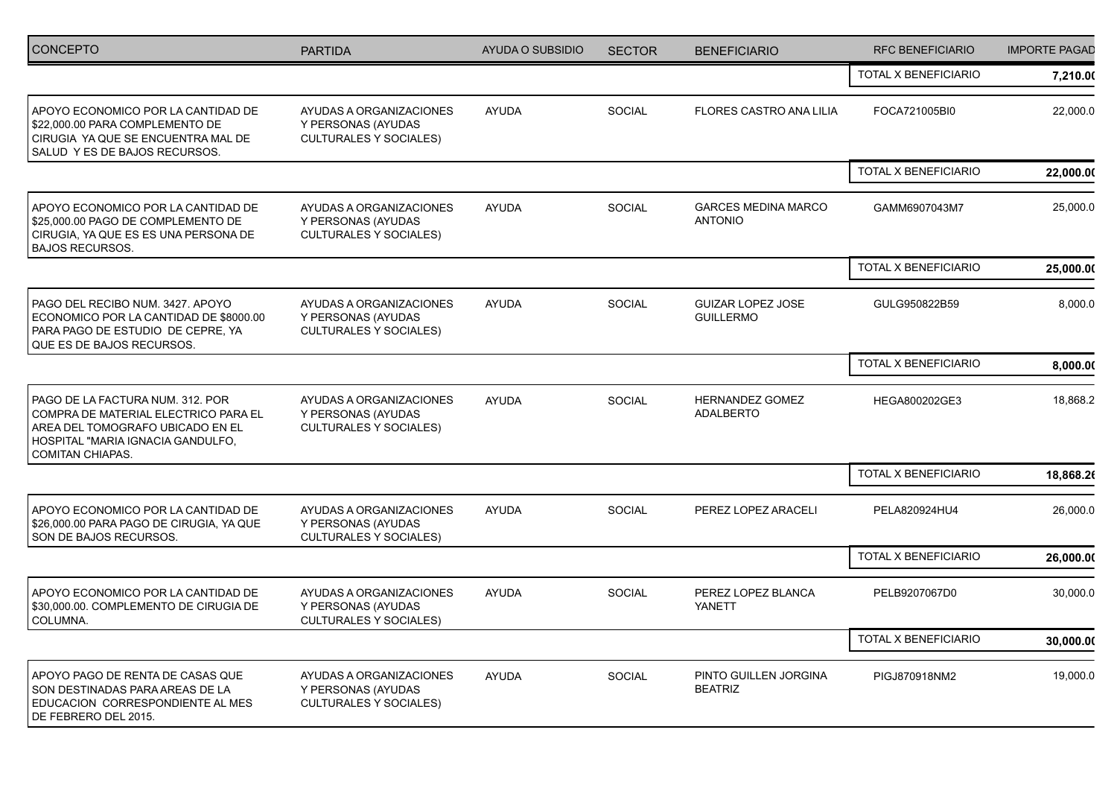| <b>CONCEPTO</b>                                                                                                                                                       | <b>PARTIDA</b>                                                                 | AYUDA O SUBSIDIO | <b>SECTOR</b> | <b>BENEFICIARIO</b>                          | <b>RFC BENEFICIARIO</b>     | <b>IMPORTE PAGAD</b> |
|-----------------------------------------------------------------------------------------------------------------------------------------------------------------------|--------------------------------------------------------------------------------|------------------|---------------|----------------------------------------------|-----------------------------|----------------------|
|                                                                                                                                                                       |                                                                                |                  |               |                                              | TOTAL X BENEFICIARIO        | 7,210.00             |
| APOYO ECONOMICO POR LA CANTIDAD DE<br>\$22,000.00 PARA COMPLEMENTO DE<br>CIRUGIA YA QUE SE ENCUENTRA MAL DE<br>SALUD YES DE BAJOS RECURSOS.                           | AYUDAS A ORGANIZACIONES<br>Y PERSONAS (AYUDAS<br><b>CULTURALES Y SOCIALES)</b> | <b>AYUDA</b>     | SOCIAL        | <b>FLORES CASTRO ANA LILIA</b>               | FOCA721005BI0               | 22,000.0             |
|                                                                                                                                                                       |                                                                                |                  |               |                                              | TOTAL X BENEFICIARIO        | 22,000.00            |
| APOYO ECONOMICO POR LA CANTIDAD DE<br>\$25,000.00 PAGO DE COMPLEMENTO DE<br>CIRUGIA, YA QUE ES ES UNA PERSONA DE<br><b>BAJOS RECURSOS.</b>                            | AYUDAS A ORGANIZACIONES<br>Y PERSONAS (AYUDAS<br><b>CULTURALES Y SOCIALES)</b> | <b>AYUDA</b>     | <b>SOCIAL</b> | <b>GARCES MEDINA MARCO</b><br><b>ANTONIO</b> | GAMM6907043M7               | 25,000.0             |
|                                                                                                                                                                       |                                                                                |                  |               |                                              | TOTAL X BENEFICIARIO        | 25,000.00            |
| PAGO DEL RECIBO NUM. 3427. APOYO<br>ECONOMICO POR LA CANTIDAD DE \$8000.00<br>PARA PAGO DE ESTUDIO DE CEPRE, YA<br>QUE ES DE BAJOS RECURSOS.                          | AYUDAS A ORGANIZACIONES<br>Y PERSONAS (AYUDAS<br><b>CULTURALES Y SOCIALES)</b> | <b>AYUDA</b>     | <b>SOCIAL</b> | <b>GUIZAR LOPEZ JOSE</b><br><b>GUILLERMO</b> | GULG950822B59               | 8,000.0              |
|                                                                                                                                                                       |                                                                                |                  |               |                                              | <b>TOTAL X BENEFICIARIO</b> | 8,000.00             |
| PAGO DE LA FACTURA NUM. 312. POR<br>COMPRA DE MATERIAL ELECTRICO PARA EL<br>AREA DEL TOMOGRAFO UBICADO EN EL<br>HOSPITAL "MARIA IGNACIA GANDULFO,<br>COMITAN CHIAPAS. | AYUDAS A ORGANIZACIONES<br>Y PERSONAS (AYUDAS<br><b>CULTURALES Y SOCIALES)</b> | <b>AYUDA</b>     | <b>SOCIAL</b> | <b>HERNANDEZ GOMEZ</b><br><b>ADALBERTO</b>   | HEGA800202GE3               | 18,868.2             |
|                                                                                                                                                                       |                                                                                |                  |               |                                              | TOTAL X BENEFICIARIO        | 18,868.26            |
| APOYO ECONOMICO POR LA CANTIDAD DE<br>\$26,000.00 PARA PAGO DE CIRUGIA, YA QUE<br>SON DE BAJOS RECURSOS.                                                              | AYUDAS A ORGANIZACIONES<br>Y PERSONAS (AYUDAS<br><b>CULTURALES Y SOCIALES)</b> | <b>AYUDA</b>     | <b>SOCIAL</b> | PEREZ LOPEZ ARACELI                          | PELA820924HU4               | 26,000.0             |
|                                                                                                                                                                       |                                                                                |                  |               |                                              | TOTAL X BENEFICIARIO        | 26,000.00            |
| APOYO ECONOMICO POR LA CANTIDAD DE<br>\$30,000.00. COMPLEMENTO DE CIRUGIA DE<br>COLUMNA.                                                                              | AYUDAS A ORGANIZACIONES<br>Y PERSONAS (AYUDAS<br><b>CULTURALES Y SOCIALES)</b> | <b>AYUDA</b>     | <b>SOCIAL</b> | PEREZ LOPEZ BLANCA<br>YANETT                 | PELB9207067D0               | 30,000.0             |
|                                                                                                                                                                       |                                                                                |                  |               |                                              | TOTAL X BENEFICIARIO        | 30,000.00            |
| APOYO PAGO DE RENTA DE CASAS QUE<br>SON DESTINADAS PARA AREAS DE LA<br>EDUCACION CORRESPONDIENTE AL MES<br>DE FEBRERO DEL 2015.                                       | AYUDAS A ORGANIZACIONES<br>Y PERSONAS (AYUDAS<br><b>CULTURALES Y SOCIALES)</b> | <b>AYUDA</b>     | SOCIAL        | PINTO GUILLEN JORGINA<br><b>BEATRIZ</b>      | PIGJ870918NM2               | 19,000.0             |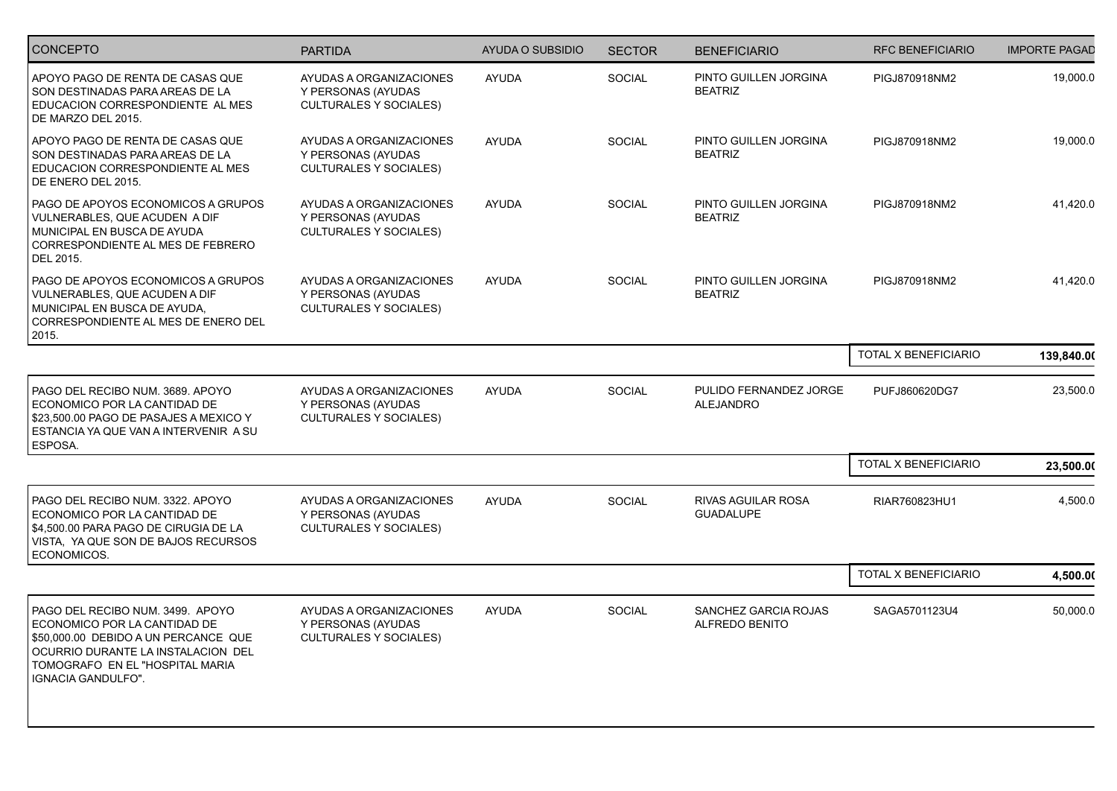| <b>CONCEPTO</b>                                                                                                                                                                                         | <b>PARTIDA</b>                                                                 | AYUDA O SUBSIDIO | <b>SECTOR</b> | <b>BENEFICIARIO</b>                           | <b>RFC BENEFICIARIO</b> | <b>IMPORTE PAGAD</b> |
|---------------------------------------------------------------------------------------------------------------------------------------------------------------------------------------------------------|--------------------------------------------------------------------------------|------------------|---------------|-----------------------------------------------|-------------------------|----------------------|
| APOYO PAGO DE RENTA DE CASAS QUE<br>SON DESTINADAS PARA AREAS DE LA<br>EDUCACION CORRESPONDIENTE AL MES<br>DE MARZO DEL 2015.                                                                           | AYUDAS A ORGANIZACIONES<br>Y PERSONAS (AYUDAS<br><b>CULTURALES Y SOCIALES)</b> | <b>AYUDA</b>     | SOCIAL        | PINTO GUILLEN JORGINA<br><b>BEATRIZ</b>       | PIGJ870918NM2           | 19,000.0             |
| APOYO PAGO DE RENTA DE CASAS QUE<br>SON DESTINADAS PARA AREAS DE LA<br>EDUCACION CORRESPONDIENTE AL MES<br>DE ENERO DEL 2015.                                                                           | AYUDAS A ORGANIZACIONES<br>Y PERSONAS (AYUDAS<br><b>CULTURALES Y SOCIALES)</b> | <b>AYUDA</b>     | <b>SOCIAL</b> | PINTO GUILLEN JORGINA<br><b>BEATRIZ</b>       | PIGJ870918NM2           | 19,000.0             |
| PAGO DE APOYOS ECONOMICOS A GRUPOS<br>VULNERABLES, QUE ACUDEN A DIF<br>MUNICIPAL EN BUSCA DE AYUDA<br>CORRESPONDIENTE AL MES DE FEBRERO<br>DEL 2015.                                                    | AYUDAS A ORGANIZACIONES<br>Y PERSONAS (AYUDAS<br><b>CULTURALES Y SOCIALES)</b> | <b>AYUDA</b>     | <b>SOCIAL</b> | PINTO GUILLEN JORGINA<br><b>BEATRIZ</b>       | PIGJ870918NM2           | 41,420.0             |
| PAGO DE APOYOS ECONOMICOS A GRUPOS<br>VULNERABLES, QUE ACUDEN A DIF<br>MUNICIPAL EN BUSCA DE AYUDA,<br>CORRESPONDIENTE AL MES DE ENERO DEL<br>2015.                                                     | AYUDAS A ORGANIZACIONES<br>Y PERSONAS (AYUDAS<br><b>CULTURALES Y SOCIALES)</b> | <b>AYUDA</b>     | <b>SOCIAL</b> | PINTO GUILLEN JORGINA<br><b>BEATRIZ</b>       | PIGJ870918NM2           | 41,420.0             |
|                                                                                                                                                                                                         |                                                                                |                  |               |                                               | TOTAL X BENEFICIARIO    | 139,840.00           |
| PAGO DEL RECIBO NUM. 3689. APOYO<br>ECONOMICO POR LA CANTIDAD DE<br>\$23,500.00 PAGO DE PASAJES A MEXICO Y<br>ESTANCIA YA QUE VAN A INTERVENIR A SU<br>ESPOSA.                                          | AYUDAS A ORGANIZACIONES<br>Y PERSONAS (AYUDAS<br><b>CULTURALES Y SOCIALES)</b> | <b>AYUDA</b>     | <b>SOCIAL</b> | PULIDO FERNANDEZ JORGE<br><b>ALEJANDRO</b>    | PUFJ860620DG7           | 23,500.0             |
|                                                                                                                                                                                                         |                                                                                |                  |               |                                               | TOTAL X BENEFICIARIO    | 23,500.00            |
| PAGO DEL RECIBO NUM. 3322. APOYO<br>ECONOMICO POR LA CANTIDAD DE<br>\$4,500.00 PARA PAGO DE CIRUGIA DE LA<br>VISTA, YA QUE SON DE BAJOS RECURSOS<br>ECONOMICOS.                                         | AYUDAS A ORGANIZACIONES<br>Y PERSONAS (AYUDAS<br><b>CULTURALES Y SOCIALES)</b> | <b>AYUDA</b>     | SOCIAL        | <b>RIVAS AGUILAR ROSA</b><br><b>GUADALUPE</b> | RIAR760823HU1           | 4,500.0              |
|                                                                                                                                                                                                         |                                                                                |                  |               |                                               | TOTAL X BENEFICIARIO    | 4,500.00             |
| PAGO DEL RECIBO NUM. 3499. APOYO<br>ECONOMICO POR LA CANTIDAD DE<br>\$50,000.00 DEBIDO A UN PERCANCE QUE<br>OCURRIO DURANTE LA INSTALACION DEL<br>TOMOGRAFO EN EL "HOSPITAL MARIA<br>IGNACIA GANDULFO". | AYUDAS A ORGANIZACIONES<br>Y PERSONAS (AYUDAS<br><b>CULTURALES Y SOCIALES)</b> | <b>AYUDA</b>     | SOCIAL        | SANCHEZ GARCIA ROJAS<br><b>ALFREDO BENITO</b> | SAGA5701123U4           | 50,000.0             |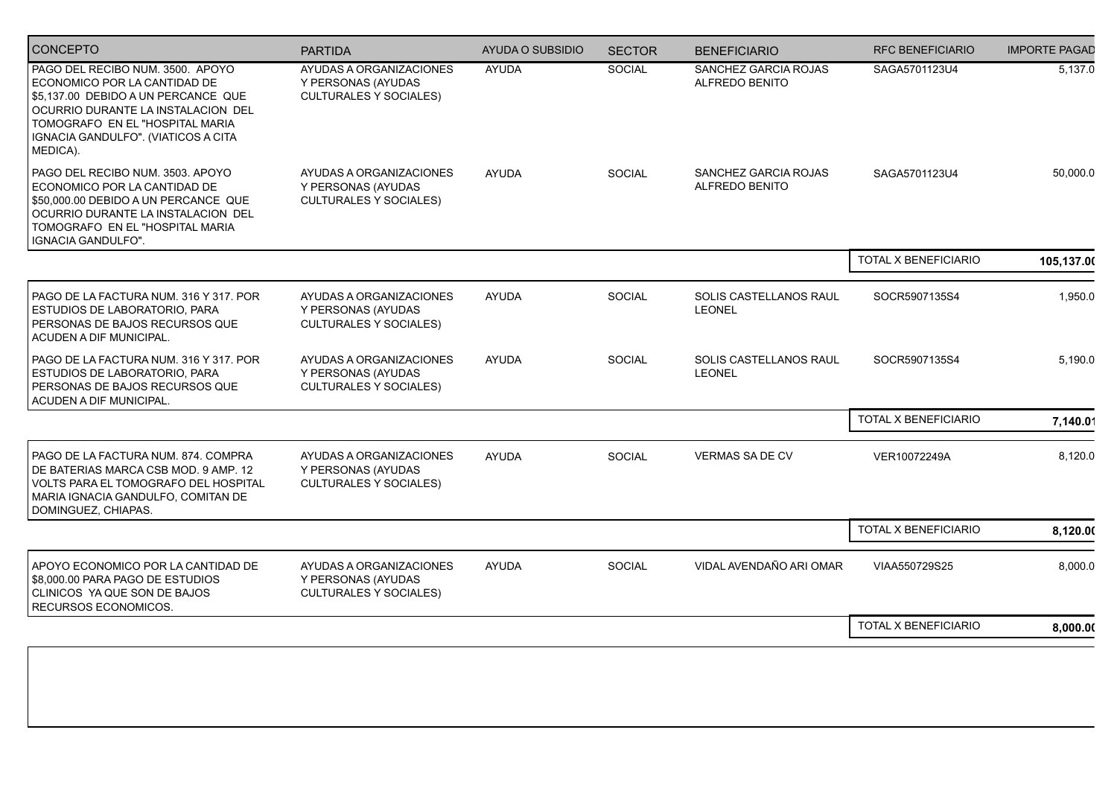| <b>CONCEPTO</b>                                                                                                                                                                                                                     | <b>PARTIDA</b>                                                                 | <b>AYUDA O SUBSIDIO</b> | <b>SECTOR</b> | <b>BENEFICIARIO</b>                           | <b>RFC BENEFICIARIO</b> | <b>IMPORTE PAGAD</b> |
|-------------------------------------------------------------------------------------------------------------------------------------------------------------------------------------------------------------------------------------|--------------------------------------------------------------------------------|-------------------------|---------------|-----------------------------------------------|-------------------------|----------------------|
| PAGO DEL RECIBO NUM. 3500. APOYO<br>ECONOMICO POR LA CANTIDAD DE<br>\$5,137.00 DEBIDO A UN PERCANCE QUE<br>OCURRIO DURANTE LA INSTALACION DEL<br>TOMOGRAFO EN EL "HOSPITAL MARIA<br>IGNACIA GANDULFO". (VIATICOS A CITA<br>MEDICA). | AYUDAS A ORGANIZACIONES<br>Y PERSONAS (AYUDAS<br><b>CULTURALES Y SOCIALES)</b> | <b>AYUDA</b>            | SOCIAL        | SANCHEZ GARCIA ROJAS<br>ALFREDO BENITO        | SAGA5701123U4           | 5,137.0              |
| PAGO DEL RECIBO NUM. 3503. APOYO<br>ECONOMICO POR LA CANTIDAD DE<br>\$50,000.00 DEBIDO A UN PERCANCE QUE<br>OCURRIO DURANTE LA INSTALACION DEL<br>TOMOGRAFO EN EL "HOSPITAL MARIA<br>IGNACIA GANDULFO".                             | AYUDAS A ORGANIZACIONES<br>Y PERSONAS (AYUDAS<br><b>CULTURALES Y SOCIALES)</b> | <b>AYUDA</b>            | <b>SOCIAL</b> | SANCHEZ GARCIA ROJAS<br><b>ALFREDO BENITO</b> | SAGA5701123U4           | 50,000.0             |
|                                                                                                                                                                                                                                     |                                                                                |                         |               |                                               | TOTAL X BENEFICIARIO    | 105,137.00           |
| PAGO DE LA FACTURA NUM. 316 Y 317. POR<br>ESTUDIOS DE LABORATORIO, PARA<br>  PERSONAS DE BAJOS RECURSOS QUE<br>ACUDEN A DIF MUNICIPAL.                                                                                              | AYUDAS A ORGANIZACIONES<br>Y PERSONAS (AYUDAS<br><b>CULTURALES Y SOCIALES)</b> | <b>AYUDA</b>            | SOCIAL        | SOLIS CASTELLANOS RAUL<br><b>LEONEL</b>       | SOCR5907135S4           | 1,950.0              |
| PAGO DE LA FACTURA NUM. 316 Y 317. POR<br>ESTUDIOS DE LABORATORIO, PARA<br>PERSONAS DE BAJOS RECURSOS QUE<br>ACUDEN A DIF MUNICIPAL.                                                                                                | AYUDAS A ORGANIZACIONES<br>Y PERSONAS (AYUDAS<br><b>CULTURALES Y SOCIALES)</b> | <b>AYUDA</b>            | <b>SOCIAL</b> | SOLIS CASTELLANOS RAUL<br><b>LEONEL</b>       | SOCR5907135S4           | 5,190.0              |
|                                                                                                                                                                                                                                     |                                                                                |                         |               |                                               | TOTAL X BENEFICIARIO    | 7,140.01             |
| PAGO DE LA FACTURA NUM. 874. COMPRA<br>DE BATERIAS MARCA CSB MOD. 9 AMP. 12<br>VOLTS PARA EL TOMOGRAFO DEL HOSPITAL<br>MARIA IGNACIA GANDULFO, COMITAN DE<br>DOMINGUEZ, CHIAPAS.                                                    | AYUDAS A ORGANIZACIONES<br>Y PERSONAS (AYUDAS<br><b>CULTURALES Y SOCIALES)</b> | <b>AYUDA</b>            | SOCIAL        | <b>VERMAS SA DE CV</b>                        | VER10072249A            | 8,120.0              |
|                                                                                                                                                                                                                                     |                                                                                |                         |               |                                               | TOTAL X BENEFICIARIO    | 8,120.00             |
| APOYO ECONOMICO POR LA CANTIDAD DE<br>\$8,000.00 PARA PAGO DE ESTUDIOS<br>I CLINICOS YA QUE SON DE BAJOS<br>RECURSOS ECONOMICOS.                                                                                                    | AYUDAS A ORGANIZACIONES<br>Y PERSONAS (AYUDAS<br><b>CULTURALES Y SOCIALES)</b> | <b>AYUDA</b>            | <b>SOCIAL</b> | VIDAL AVENDAÑO ARI OMAR                       | VIAA550729S25           | 8,000.0              |
|                                                                                                                                                                                                                                     |                                                                                |                         |               |                                               | TOTAL X BENEFICIARIO    | 8,000.00             |